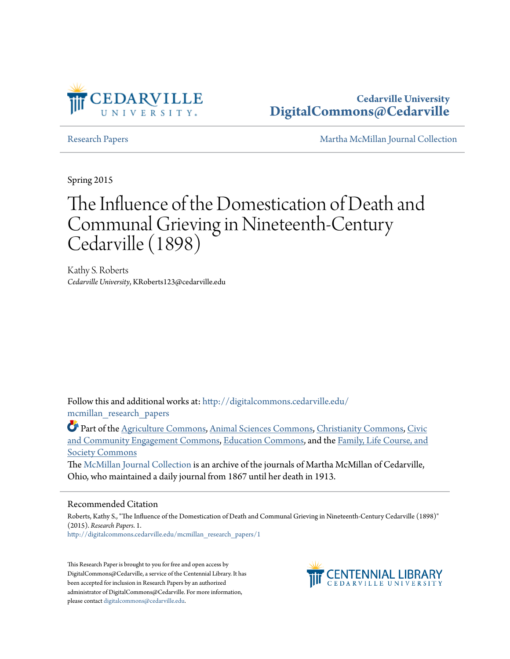

**Cedarville University [DigitalCommons@Cedarville](http://digitalcommons.cedarville.edu?utm_source=digitalcommons.cedarville.edu%2Fmcmillan_research_papers%2F1&utm_medium=PDF&utm_campaign=PDFCoverPages)**

[Research Papers](http://digitalcommons.cedarville.edu/mcmillan_research_papers?utm_source=digitalcommons.cedarville.edu%2Fmcmillan_research_papers%2F1&utm_medium=PDF&utm_campaign=PDFCoverPages) [Martha McMillan Journal Collection](http://digitalcommons.cedarville.edu/mcmillan_journal_collection?utm_source=digitalcommons.cedarville.edu%2Fmcmillan_research_papers%2F1&utm_medium=PDF&utm_campaign=PDFCoverPages)

Spring 2015

# The Influence of the Domestication of Death and Communal Grieving in Nineteenth-Century Cedarville (1898)

Kathy S. Roberts *Cedarville University*, KRoberts123@cedarville.edu

Follow this and additional works at: [http://digitalcommons.cedarville.edu/](http://digitalcommons.cedarville.edu/mcmillan_research_papers?utm_source=digitalcommons.cedarville.edu%2Fmcmillan_research_papers%2F1&utm_medium=PDF&utm_campaign=PDFCoverPages) [mcmillan\\_research\\_papers](http://digitalcommons.cedarville.edu/mcmillan_research_papers?utm_source=digitalcommons.cedarville.edu%2Fmcmillan_research_papers%2F1&utm_medium=PDF&utm_campaign=PDFCoverPages)

Part of the [Agriculture Commons](http://network.bepress.com/hgg/discipline/1076?utm_source=digitalcommons.cedarville.edu%2Fmcmillan_research_papers%2F1&utm_medium=PDF&utm_campaign=PDFCoverPages), [Animal Sciences Commons,](http://network.bepress.com/hgg/discipline/76?utm_source=digitalcommons.cedarville.edu%2Fmcmillan_research_papers%2F1&utm_medium=PDF&utm_campaign=PDFCoverPages) [Christianity Commons](http://network.bepress.com/hgg/discipline/1181?utm_source=digitalcommons.cedarville.edu%2Fmcmillan_research_papers%2F1&utm_medium=PDF&utm_campaign=PDFCoverPages), [Civic](http://network.bepress.com/hgg/discipline/1028?utm_source=digitalcommons.cedarville.edu%2Fmcmillan_research_papers%2F1&utm_medium=PDF&utm_campaign=PDFCoverPages) [and Community Engagement Commons,](http://network.bepress.com/hgg/discipline/1028?utm_source=digitalcommons.cedarville.edu%2Fmcmillan_research_papers%2F1&utm_medium=PDF&utm_campaign=PDFCoverPages) [Education Commons,](http://network.bepress.com/hgg/discipline/784?utm_source=digitalcommons.cedarville.edu%2Fmcmillan_research_papers%2F1&utm_medium=PDF&utm_campaign=PDFCoverPages) and the [Family, Life Course, and](http://network.bepress.com/hgg/discipline/419?utm_source=digitalcommons.cedarville.edu%2Fmcmillan_research_papers%2F1&utm_medium=PDF&utm_campaign=PDFCoverPages) [Society Commons](http://network.bepress.com/hgg/discipline/419?utm_source=digitalcommons.cedarville.edu%2Fmcmillan_research_papers%2F1&utm_medium=PDF&utm_campaign=PDFCoverPages)

The [McMillan Journal Collection](http://digitalcommons.cedarville.edu/mcmillan_journal_collection/) is an archive of the journals of Martha McMillan of Cedarville, Ohio, who maintained a daily journal from 1867 until her death in 1913.

### Recommended Citation

Roberts, Kathy S., "The Influence of the Domestication of Death and Communal Grieving in Nineteenth-Century Cedarville (1898)" (2015). *Research Papers*. 1. [http://digitalcommons.cedarville.edu/mcmillan\\_research\\_papers/1](http://digitalcommons.cedarville.edu/mcmillan_research_papers/1?utm_source=digitalcommons.cedarville.edu%2Fmcmillan_research_papers%2F1&utm_medium=PDF&utm_campaign=PDFCoverPages)

This Research Paper is brought to you for free and open access by DigitalCommons@Cedarville, a service of the Centennial Library. It has been accepted for inclusion in Research Papers by an authorized administrator of DigitalCommons@Cedarville. For more information, please contact [digitalcommons@cedarville.edu.](mailto:digitalcommons@cedarville.edu)

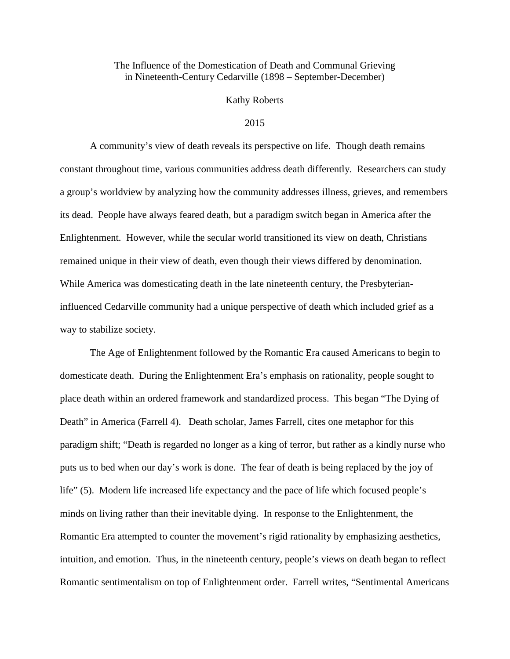# The Influence of the Domestication of Death and Communal Grieving in Nineteenth-Century Cedarville (1898 – September-December)

## Kathy Roberts

### 2015

A community's view of death reveals its perspective on life. Though death remains constant throughout time, various communities address death differently. Researchers can study a group's worldview by analyzing how the community addresses illness, grieves, and remembers its dead. People have always feared death, but a paradigm switch began in America after the Enlightenment. However, while the secular world transitioned its view on death, Christians remained unique in their view of death, even though their views differed by denomination. While America was domesticating death in the late nineteenth century, the Presbyterianinfluenced Cedarville community had a unique perspective of death which included grief as a way to stabilize society.

The Age of Enlightenment followed by the Romantic Era caused Americans to begin to domesticate death. During the Enlightenment Era's emphasis on rationality, people sought to place death within an ordered framework and standardized process. This began "The Dying of Death" in America (Farrell 4). Death scholar, James Farrell, cites one metaphor for this paradigm shift; "Death is regarded no longer as a king of terror, but rather as a kindly nurse who puts us to bed when our day's work is done. The fear of death is being replaced by the joy of life" (5). Modern life increased life expectancy and the pace of life which focused people's minds on living rather than their inevitable dying. In response to the Enlightenment, the Romantic Era attempted to counter the movement's rigid rationality by emphasizing aesthetics, intuition, and emotion. Thus, in the nineteenth century, people's views on death began to reflect Romantic sentimentalism on top of Enlightenment order. Farrell writes, "Sentimental Americans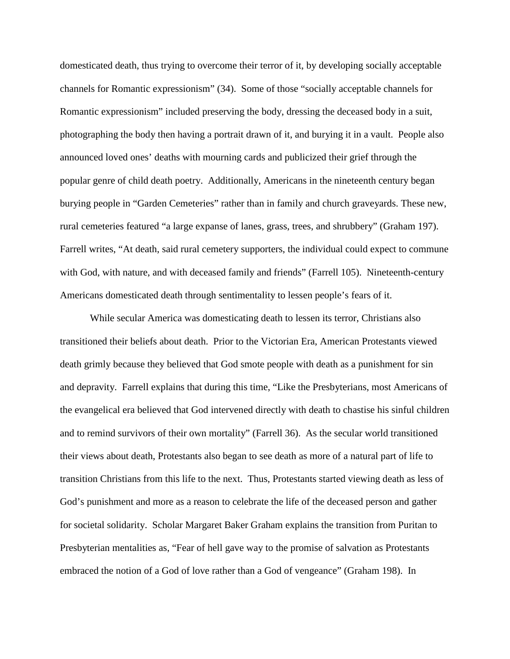domesticated death, thus trying to overcome their terror of it, by developing socially acceptable channels for Romantic expressionism" (34). Some of those "socially acceptable channels for Romantic expressionism" included preserving the body, dressing the deceased body in a suit, photographing the body then having a portrait drawn of it, and burying it in a vault. People also announced loved ones' deaths with mourning cards and publicized their grief through the popular genre of child death poetry. Additionally, Americans in the nineteenth century began burying people in "Garden Cemeteries" rather than in family and church graveyards. These new, rural cemeteries featured "a large expanse of lanes, grass, trees, and shrubbery" (Graham 197). Farrell writes, "At death, said rural cemetery supporters, the individual could expect to commune with God, with nature, and with deceased family and friends" (Farrell 105). Nineteenth-century Americans domesticated death through sentimentality to lessen people's fears of it.

While secular America was domesticating death to lessen its terror, Christians also transitioned their beliefs about death. Prior to the Victorian Era, American Protestants viewed death grimly because they believed that God smote people with death as a punishment for sin and depravity. Farrell explains that during this time, "Like the Presbyterians, most Americans of the evangelical era believed that God intervened directly with death to chastise his sinful children and to remind survivors of their own mortality" (Farrell 36). As the secular world transitioned their views about death, Protestants also began to see death as more of a natural part of life to transition Christians from this life to the next. Thus, Protestants started viewing death as less of God's punishment and more as a reason to celebrate the life of the deceased person and gather for societal solidarity. Scholar Margaret Baker Graham explains the transition from Puritan to Presbyterian mentalities as, "Fear of hell gave way to the promise of salvation as Protestants embraced the notion of a God of love rather than a God of vengeance" (Graham 198). In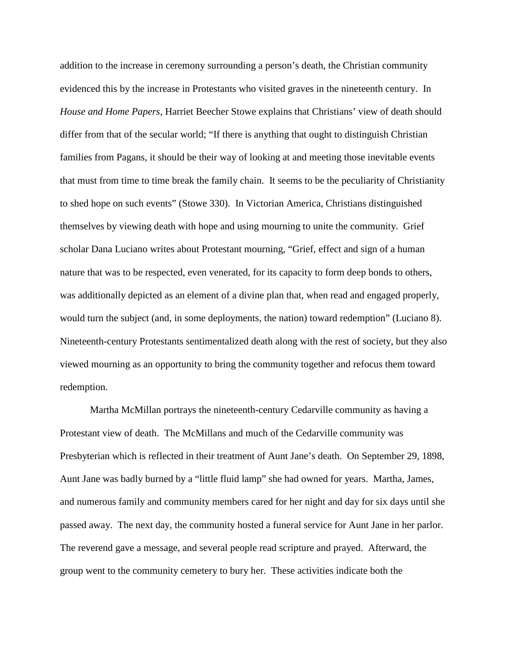addition to the increase in ceremony surrounding a person's death, the Christian community evidenced this by the increase in Protestants who visited graves in the nineteenth century. In *House and Home Papers*, Harriet Beecher Stowe explains that Christians' view of death should differ from that of the secular world; "If there is anything that ought to distinguish Christian families from Pagans, it should be their way of looking at and meeting those inevitable events that must from time to time break the family chain. It seems to be the peculiarity of Christianity to shed hope on such events" (Stowe 330). In Victorian America, Christians distinguished themselves by viewing death with hope and using mourning to unite the community. Grief scholar Dana Luciano writes about Protestant mourning, "Grief, effect and sign of a human nature that was to be respected, even venerated, for its capacity to form deep bonds to others, was additionally depicted as an element of a divine plan that, when read and engaged properly, would turn the subject (and, in some deployments, the nation) toward redemption" (Luciano 8). Nineteenth-century Protestants sentimentalized death along with the rest of society, but they also viewed mourning as an opportunity to bring the community together and refocus them toward redemption.

Martha McMillan portrays the nineteenth-century Cedarville community as having a Protestant view of death. The McMillans and much of the Cedarville community was Presbyterian which is reflected in their treatment of Aunt Jane's death. On September 29, 1898, Aunt Jane was badly burned by a "little fluid lamp" she had owned for years. Martha, James, and numerous family and community members cared for her night and day for six days until she passed away. The next day, the community hosted a funeral service for Aunt Jane in her parlor. The reverend gave a message, and several people read scripture and prayed. Afterward, the group went to the community cemetery to bury her. These activities indicate both the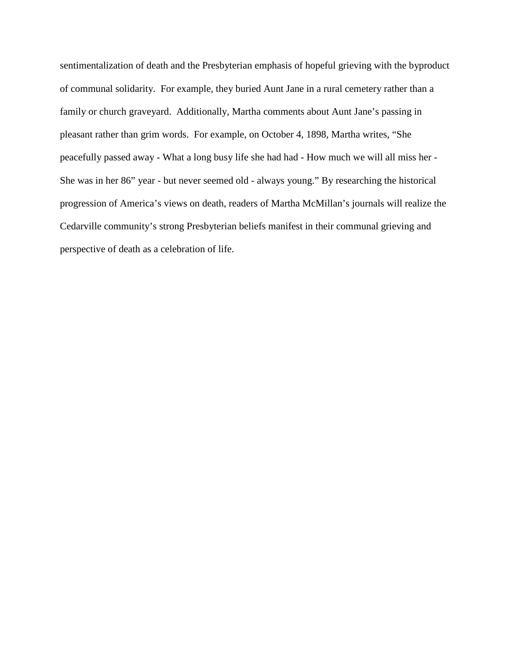sentimentalization of death and the Presbyterian emphasis of hopeful grieving with the byproduct of communal solidarity. For example, they buried Aunt Jane in a rural cemetery rather than a family or church graveyard. Additionally, Martha comments about Aunt Jane's passing in pleasant rather than grim words. For example, on October 4, 1898, Martha writes, "She peacefully passed away - What a long busy life she had had - How much we will all miss her - She was in her 86" year - but never seemed old - always young." By researching the historical progression of America's views on death, readers of Martha McMillan's journals will realize the Cedarville community's strong Presbyterian beliefs manifest in their communal grieving and perspective of death as a celebration of life.